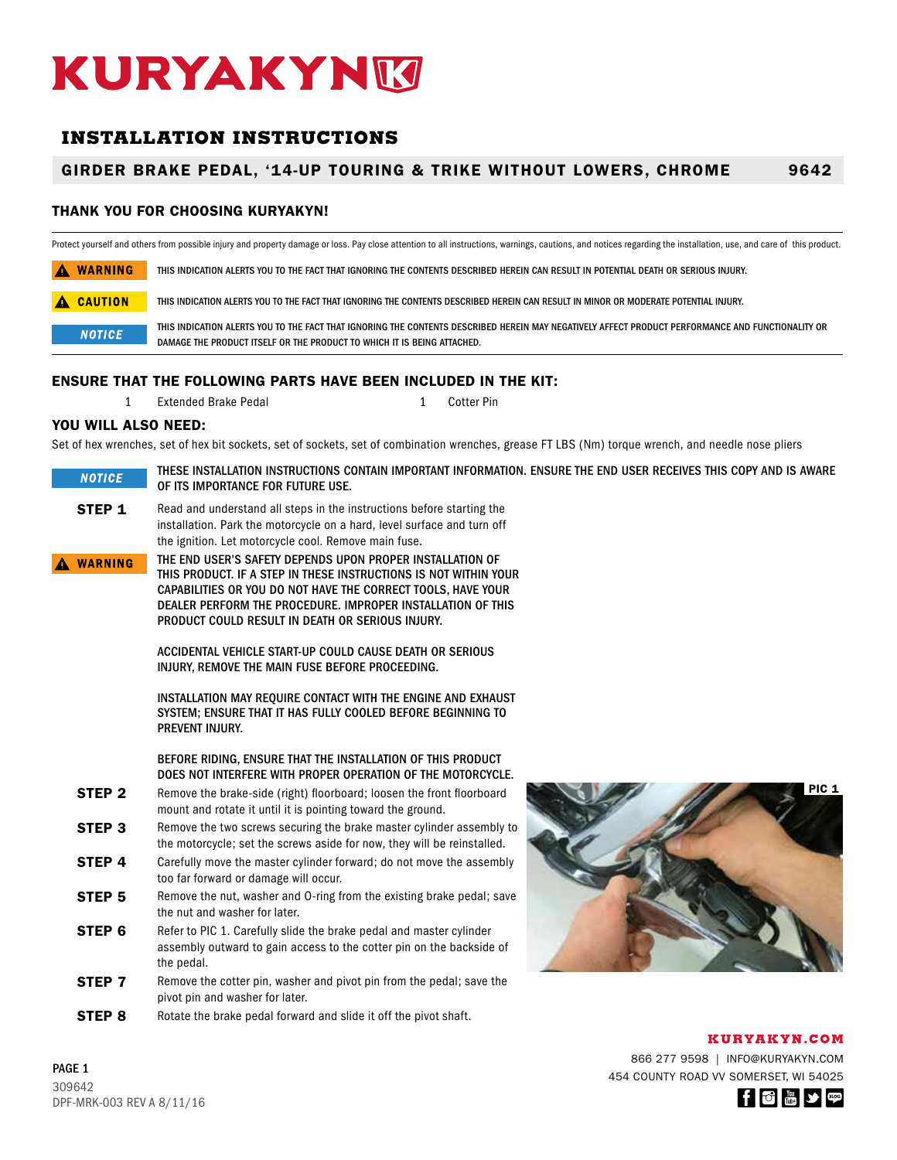# KURYAKYNM

# **INSTALLATION INSTRUCTIONS**

# GIRDER BRAKE PEDAL, '14-UP TOURING & TRIKE WITHOUT LOWERS, CHROME 9642

## THANK YOU FOR CHOOSING KURYAKYN!

Protect yourself and others from possible injury and property damage or loss. Pay close attention to all instructions, warnings, cautions, and notices regarding the installation, use, and care of this product.

A WARNING THIS INDICATION ALERTS YOU TO THE FACT THAT IGNORING THE CONTENTS DESCRIBED HEREIN CAN RESULT IN POTENTIAL DEATH OR SERIOUS INJURY.

A CAUTION THIS INDICATION ALERTS YOU TO THE FACT THAT IGNORING THE CONTENTS DESCRIBED HEREIN CAN RESULT IN MINOR OR MODERATE POTENTIAL INJURY.

THIS INDICATION ALERTS YOU TO THE FACT THAT IGNORING THE CONTENTS DESCRIBED HEREIN MAY NEGATIVELY AFFECT PRODUCT PERFORMANCE AND FUNCTIONALITY OR **NOTICE** DAMAGE THE PRODUCT ITSELF OR THE PRODUCT TO WHICH IT IS BEING ATTACHED.

## ENSURE THAT THE FOLLOWING PARTS HAVE BEEN INCLUDED IN THE KIT:

- 1 Extended Brake Pedal 1 Cotter Pin
- 

## YOU WILL ALSO NEED:

Set of hex wrenches, set of hex bit sockets, set of sockets, set of combination wrenches, grease FT LBS (Nm) torque wrench, and needle nose pliers

| <b>NOTICE</b>     | THESE INSTALLATION INSTRUCTIONS CONTAIN IMPORTANT INFORMATION. ENSURE THE END USER RECEIVES THIS COPY AND IS AWARE<br>OF ITS IMPORTANCE FOR FUTURE USE.                                                                                                                                                          |
|-------------------|------------------------------------------------------------------------------------------------------------------------------------------------------------------------------------------------------------------------------------------------------------------------------------------------------------------|
| STEP <sub>1</sub> | Read and understand all steps in the instructions before starting the<br>installation. Park the motorcycle on a hard, level surface and turn off<br>the ignition. Let motorcycle cool. Remove main fuse.                                                                                                         |
| A WARNING         | THE END USER'S SAFETY DEPENDS UPON PROPER INSTALLATION OF<br>THIS PRODUCT. IF A STEP IN THESE INSTRUCTIONS IS NOT WITHIN YOUR<br>CAPABILITIES OR YOU DO NOT HAVE THE CORRECT TOOLS, HAVE YOUR<br>DEALER PERFORM THE PROCEDURE. IMPROPER INSTALLATION OF THIS<br>PRODUCT COULD RESULT IN DEATH OR SERIOUS INJURY. |
|                   | ACCIDENTAL VEHICLE START-UP COULD CAUSE DEATH OR SERIOUS<br>INJURY, REMOVE THE MAIN FUSE BEFORE PROCEEDING.                                                                                                                                                                                                      |
|                   | INSTALLATION MAY REQUIRE CONTACT WITH THE ENGINE AND EXHAUST<br>SYSTEM; ENSURE THAT IT HAS FULLY COOLED BEFORE BEGINNING TO<br>PREVENT INJURY.                                                                                                                                                                   |
|                   | BEFORE RIDING, ENSURE THAT THE INSTALLATION OF THIS PRODUCT<br>DOES NOT INTERFERE WITH PROPER OPERATION OF THE MOTORCYCLE.                                                                                                                                                                                       |
| STEP <sub>2</sub> | PIC <sub>1</sub><br>Remove the brake-side (right) floorboard; loosen the front floorboard<br>mount and rotate it until it is pointing toward the ground.                                                                                                                                                         |
| STEP <sub>3</sub> | Remove the two screws securing the brake master cylinder assembly to<br>the motorcycle; set the screws aside for now, they will be reinstalled.                                                                                                                                                                  |
| STEP 4            | Carefully move the master cylinder forward; do not move the assembly<br>too far forward or damage will occur.                                                                                                                                                                                                    |
| STEP <sub>5</sub> | Remove the nut, washer and O-ring from the existing brake pedal; save<br>the nut and washer for later.                                                                                                                                                                                                           |
| STEP 6            | Refer to PIC 1. Carefully slide the brake pedal and master cylinder<br>assembly outward to gain access to the cotter pin on the backside of<br>the pedal.                                                                                                                                                        |
| STEP 7            | Remove the cotter pin, washer and pivot pin from the pedal; save the<br>pivot pin and washer for later.                                                                                                                                                                                                          |
| STEP <sub>8</sub> | Rotate the brake pedal forward and slide it off the pivot shaft.                                                                                                                                                                                                                                                 |

# **KURYAKYN.COM**

866 277 9598 | INFO@KURYAKYN.COM 454 COUNTY ROAD VV SOMERSET, WI 54025